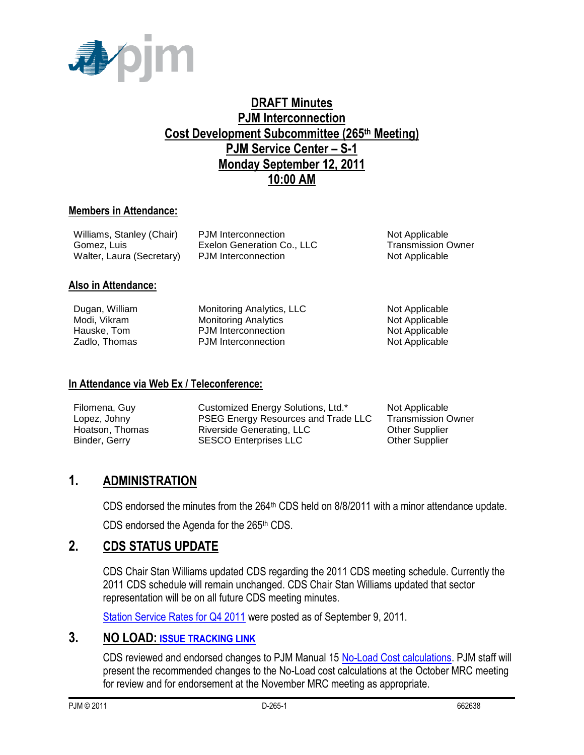

## **DRAFT Minutes PJM Interconnection Cost Development Subcommittee (265th Meeting) PJM Service Center – S-1 Monday September 12, 2011 10:00 AM**

#### **Members in Attendance:**

| Williams, Stanley (Chair) | PJM Interconnection        | Not Applicable            |
|---------------------------|----------------------------|---------------------------|
| Gomez, Luis               | Exelon Generation Co., LLC | <b>Transmission Owner</b> |
| Walter, Laura (Secretary) | PJM Interconnection        | Not Applicable            |

#### **Also in Attendance:**

| Dugan, William |
|----------------|
| Modi. Vikram   |
| Hauske, Tom    |
| Zadlo, Thomas  |

Monitoring Analytics<br>
PJM Interconnection<br>
Not Applicable<br>
Not Applicable PJM Interconnection PJM Interconnection Not Applicable

Monitoring Analytics, LLC Not Applicable

#### **In Attendance via Web Ex / Teleconference:**

| Filomena, Guy   | Customized Energy Solutions, Ltd.*         | Not Applicable            |
|-----------------|--------------------------------------------|---------------------------|
| Lopez, Johny    | <b>PSEG Energy Resources and Trade LLC</b> | <b>Transmission Owner</b> |
| Hoatson, Thomas | Riverside Generating, LLC                  | <b>Other Supplier</b>     |
| Binder, Gerry   | <b>SESCO Enterprises LLC</b>               | <b>Other Supplier</b>     |

### **1. ADMINISTRATION**

CDS endorsed the minutes from the  $264<sup>th</sup>$  CDS held on  $8/8/2011$  with a minor attendance update.

CDS endorsed the Agenda for the 265<sup>th</sup> CDS.

### **2. CDS STATUS UPDATE**

CDS Chair Stan Williams updated CDS regarding the 2011 CDS meeting schedule. Currently the 2011 CDS schedule will remain unchanged. CDS Chair Stan Williams updated that sector representation will be on all future CDS meeting minutes.

[Station Service Rates for Q4 2011](http://www.pjm.com/committees-and-groups/subcommittees/cds/starvrts.aspx) were posted as of September 9, 2011.

### **3. NO LOAD: [ISSUE TRACKING LINK](http://www.pjm.com/committees-and-groups/issue-tracking/issue-tracking-details.aspx?Issue=%7bB4390F49-FB83-4790-B1E7-89EF1844E073%7d)**

CDS reviewed and endorsed changes to PJM Manual 15 [No-Load Cost calculations.](http://www.pjm.com/committees-and-groups/issue-tracking/issue-tracking-details.aspx?Issue=%7bB4390F49-FB83-4790-B1E7-89EF1844E073%7d) PJM staff will present the recommended changes to the No-Load cost calculations at the October MRC meeting for review and for endorsement at the November MRC meeting as appropriate.